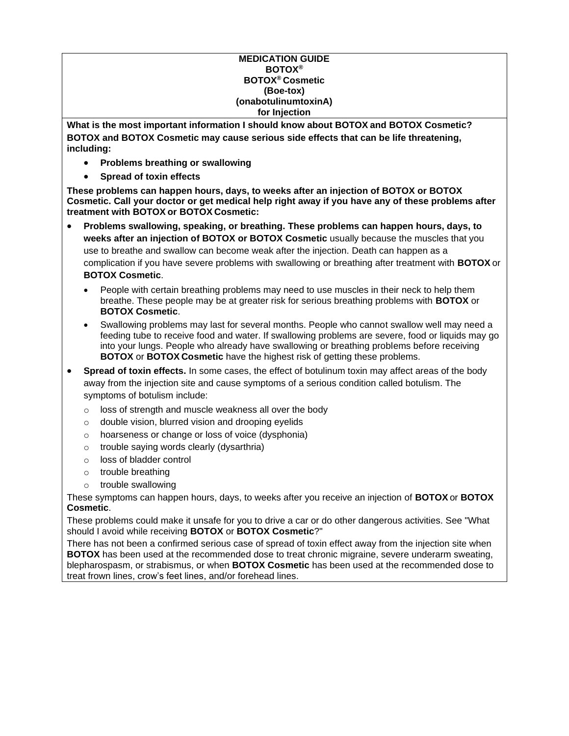#### **MEDICATION GUIDE BOTOX® BOTOX® Cosmetic (Boe-tox) (onabotulinumtoxinA) for Injection**

**What is the most important information I should know about BOTOX and BOTOX Cosmetic? BOTOX and BOTOX Cosmetic may cause serious side effects that can be life threatening, including:**

- **Problems breathing or swallowing**
- **Spread of toxin effects**

**These problems can happen hours, days, to weeks after an injection of BOTOX or BOTOX Cosmetic. Call your doctor or get medical help right away if you have any of these problems after treatment with BOTOX or BOTOX Cosmetic:**

- **Problems swallowing, speaking, or breathing. These problems can happen hours, days, to weeks after an injection of BOTOX or BOTOX Cosmetic** usually because the muscles that you use to breathe and swallow can become weak after the injection. Death can happen as a complication if you have severe problems with swallowing or breathing after treatment with **BOTOX** or **BOTOX Cosmetic**.
	- People with certain breathing problems may need to use muscles in their neck to help them breathe. These people may be at greater risk for serious breathing problems with **BOTOX** or **BOTOX Cosmetic**.
	- Swallowing problems may last for several months. People who cannot swallow well may need a feeding tube to receive food and water. If swallowing problems are severe, food or liquids may go into your lungs. People who already have swallowing or breathing problems before receiving **BOTOX** or **BOTOX Cosmetic** have the highest risk of getting these problems.
- **Spread of toxin effects.** In some cases, the effect of botulinum toxin may affect areas of the body away from the injection site and cause symptoms of a serious condition called botulism. The symptoms of botulism include:
	- o loss of strength and muscle weakness all over the body
	- o double vision, blurred vision and drooping eyelids
	- o hoarseness or change or loss of voice (dysphonia)
	- o trouble saying words clearly (dysarthria)
	- o loss of bladder control
	- o trouble breathing
	- o trouble swallowing

These symptoms can happen hours, days, to weeks after you receive an injection of **BOTOX** or **BOTOX Cosmetic**.

These problems could make it unsafe for you to drive a car or do other dangerous activities. See "What should I avoid while receiving **BOTOX** or **BOTOX Cosmetic**?"

There has not been a confirmed serious case of spread of toxin effect away from the injection site when **BOTOX** has been used at the recommended dose to treat chronic migraine, severe underarm sweating, blepharospasm, or strabismus, or when **BOTOX Cosmetic** has been used at the recommended dose to treat frown lines, crow's feet lines, and/or forehead lines.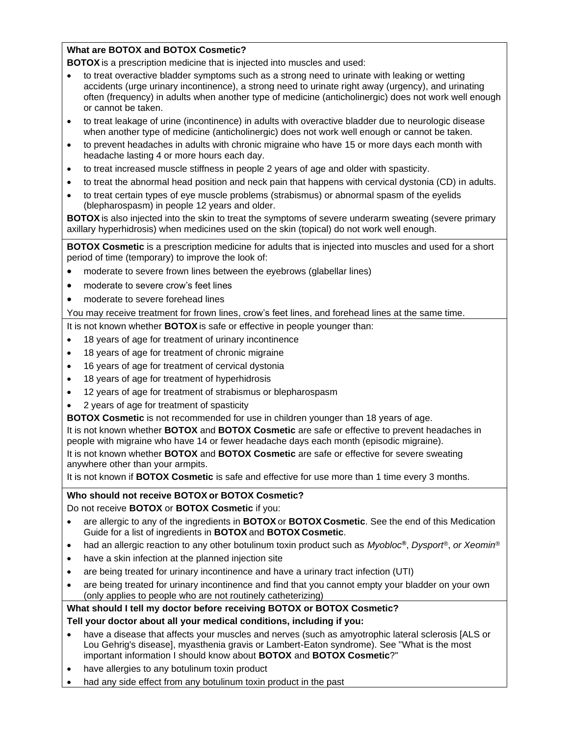### **What are BOTOX and BOTOX Cosmetic?**

**BOTOX** is a prescription medicine that is injected into muscles and used:

- to treat overactive bladder symptoms such as a strong need to urinate with leaking or wetting accidents (urge urinary incontinence), a strong need to urinate right away (urgency), and urinating often (frequency) in adults when another type of medicine (anticholinergic) does not work well enough or cannot be taken.
- to treat leakage of urine (incontinence) in adults with overactive bladder due to neurologic disease when another type of medicine (anticholinergic) does not work well enough or cannot be taken.
- to prevent headaches in adults with chronic migraine who have 15 or more days each month with headache lasting 4 or more hours each day.
- to treat increased muscle stiffness in people 2 years of age and older with spasticity.
- to treat the abnormal head position and neck pain that happens with cervical dystonia (CD) in adults.
- to treat certain types of eye muscle problems (strabismus) or abnormal spasm of the eyelids (blepharospasm) in people 12 years and older.

**BOTOX** is also injected into the skin to treat the symptoms of severe underarm sweating (severe primary axillary hyperhidrosis) when medicines used on the skin (topical) do not work well enough.

**BOTOX Cosmetic** is a prescription medicine for adults that is injected into muscles and used for a short period of time (temporary) to improve the look of:

- moderate to severe frown lines between the eyebrows (glabellar lines)
- moderate to severe crow's feet lines
- moderate to severe forehead lines

You may receive treatment for frown lines, crow's feet lines, and forehead lines at the same time.

It is not known whether **BOTOX** is safe or effective in people younger than:

- 18 years of age for treatment of urinary incontinence
- 18 years of age for treatment of chronic migraine
- 16 years of age for treatment of cervical dystonia
- 18 years of age for treatment of hyperhidrosis
- 12 years of age for treatment of strabismus or blepharospasm
- 2 years of age for treatment of spasticity

**BOTOX Cosmetic** is not recommended for use in children younger than 18 years of age.

It is not known whether **BOTOX** and **BOTOX Cosmetic** are safe or effective to prevent headaches in people with migraine who have 14 or fewer headache days each month (episodic migraine). It is not known whether **BOTOX** and **BOTOX Cosmetic** are safe or effective for severe sweating anywhere other than your armpits.

It is not known if **BOTOX Cosmetic** is safe and effective for use more than 1 time every 3 months.

### **Who should not receive BOTOX or BOTOX Cosmetic?**

Do not receive **BOTOX** or **BOTOX Cosmetic** if you:

- are allergic to any of the ingredients in **BOTOX** or **BOTOX Cosmetic**. See the end of this Medication Guide for a list of ingredients in **BOTOX** and **BOTOX Cosmetic**.
- had an allergic reaction to any other botulinum toxin product such as *Myobloc***®**, *Dysport®*, *or Xeomin®*
- have a skin infection at the planned injection site
- are being treated for urinary incontinence and have a urinary tract infection (UTI)
- are being treated for urinary incontinence and find that you cannot empty your bladder on your own (only applies to people who are not routinely catheterizing)

# **What should I tell my doctor before receiving BOTOX or BOTOX Cosmetic?**

### **Tell your doctor about all your medical conditions, including if you:**

- have a disease that affects your muscles and nerves (such as amyotrophic lateral sclerosis [ALS or Lou Gehrig's disease], myasthenia gravis or Lambert-Eaton syndrome). See "What is the most important information I should know about **BOTOX** and **BOTOX Cosmetic**?"
- have allergies to any botulinum toxin product
- had any side effect from any botulinum toxin product in the past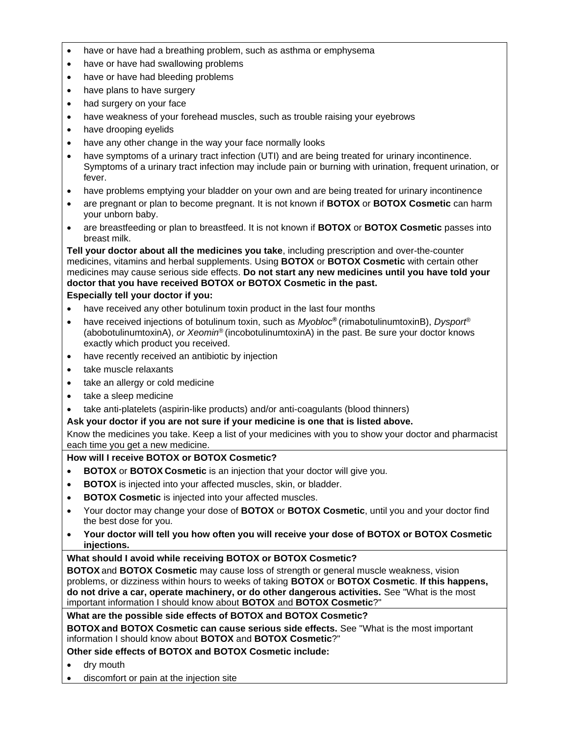- have or have had a breathing problem, such as asthma or emphysema
- have or have had swallowing problems
- have or have had bleeding problems
- have plans to have surgery
- had surgery on your face
- have weakness of your forehead muscles, such as trouble raising your eyebrows
- have drooping eyelids
- have any other change in the way your face normally looks
- have symptoms of a urinary tract infection (UTI) and are being treated for urinary incontinence. Symptoms of a urinary tract infection may include pain or burning with urination, frequent urination, or fever.
- have problems emptying your bladder on your own and are being treated for urinary incontinence
- are pregnant or plan to become pregnant. It is not known if **BOTOX** or **BOTOX Cosmetic** can harm your unborn baby.
- are breastfeeding or plan to breastfeed. It is not known if **BOTOX** or **BOTOX Cosmetic** passes into breast milk.

**Tell your doctor about all the medicines you take**, including prescription and over-the-counter medicines, vitamins and herbal supplements. Using **BOTOX** or **BOTOX Cosmetic** with certain other medicines may cause serious side effects. **Do not start any new medicines until you have told your doctor that you have received BOTOX or BOTOX Cosmetic in the past.**

## **Especially tell your doctor if you:**

- have received any other botulinum toxin product in the last four months
- have received injections of botulinum toxin, such as *Myobloc***®** (rimabotulinumtoxinB), *Dysport*® (abobotulinumtoxinA), *or Xeomin®* (incobotulinumtoxinA) in the past. Be sure your doctor knows exactly which product you received.
- have recently received an antibiotic by injection
- take muscle relaxants
- take an allergy or cold medicine
- take a sleep medicine
- take anti-platelets (aspirin-like products) and/or anti-coagulants (blood thinners)

# **Ask your doctor if you are not sure if your medicine is one that is listed above.**

Know the medicines you take. Keep a list of your medicines with you to show your doctor and pharmacist each time you get a new medicine.

### **How will I receive BOTOX or BOTOX Cosmetic?**

- **BOTOX** or **BOTOX Cosmetic** is an injection that your doctor will give you.
- **BOTOX** is injected into your affected muscles, skin, or bladder.
- **BOTOX Cosmetic** is injected into your affected muscles.
- Your doctor may change your dose of **BOTOX** or **BOTOX Cosmetic**, until you and your doctor find the best dose for you.
- **Your doctor will tell you how often you will receive your dose of BOTOX or BOTOX Cosmetic injections.**

### **What should I avoid while receiving BOTOX or BOTOX Cosmetic?**

**BOTOX** and **BOTOX Cosmetic** may cause loss of strength or general muscle weakness, vision problems, or dizziness within hours to weeks of taking **BOTOX** or **BOTOX Cosmetic**. **If this happens, do not drive a car, operate machinery, or do other dangerous activities.** See "What is the most important information I should know about **BOTOX** and **BOTOX Cosmetic**?"

### **What are the possible side effects of BOTOX and BOTOX Cosmetic?**

**BOTOX and BOTOX Cosmetic can cause serious side effects.** See "What is the most important information I should know about **BOTOX** and **BOTOX Cosmetic**?"

**Other side effects of BOTOX and BOTOX Cosmetic include:**

- dry mouth
- discomfort or pain at the injection site